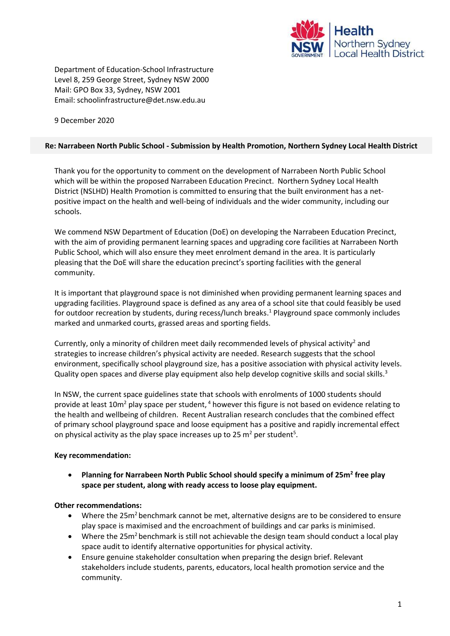

Department of Education-School Infrastructure Level 8, 259 George Street, Sydney NSW 2000 Mail: GPO Box 33, Sydney, NSW 2001 Email: schoolinfrastructure@det.nsw.edu.au

9 December 2020

## **Re: Narrabeen North Public School - Submission by Health Promotion, Northern Sydney Local Health District**

Thank you for the opportunity to comment on the development of Narrabeen North Public School which will be within the proposed Narrabeen Education Precinct. Northern Sydney Local Health District (NSLHD) Health Promotion is committed to ensuring that the built environment has a net‐ positive impact on the health and well-being of individuals and the wider community, including our schools.

We commend NSW Department of Education (DoE) on developing the Narrabeen Education Precinct, with the aim of providing permanent learning spaces and upgrading core facilities at Narrabeen North Public School, which will also ensure they meet enrolment demand in the area. It is particularly pleasing that the DoE will share the education precinct's sporting facilities with the general community.

It is important that playground space is not diminished when providing permanent learning spaces and upgrading facilities. Playground space is defined as any area of a school site that could feasibly be used for outdoor recreation by students, during recess/lunch breaks. <sup>1</sup> Playground space commonly includes marked and unmarked courts, grassed areas and sporting fields.

Currently, only a minority of children meet daily recommended levels of physical activity<sup>2</sup> and strategies to increase children's physical activity are needed. Research suggests that the school environment, specifically school playground size, has a positive association with physical activity levels. Quality open spaces and diverse play equipment also help develop cognitive skills and social skills.<sup>3</sup>

In NSW, the current space guidelines state that schools with enrolments of 1000 students should provide at least 10m<sup>2</sup> play space per student,  $4$  however this figure is not based on evidence relating to the health and wellbeing of children. Recent Australian research concludes that the combined effect of primary school playground space and loose equipment has a positive and rapidly incremental effect on physical activity as the play space increases up to 25  $m^2$  per student<sup>5</sup>.

## **Key recommendation:**

 **Planning for Narrabeen North Public School should specify a minimum of 25m<sup>2</sup> free play space per student, along with ready access to loose play equipment.** 

## **Other recommendations:**

- Where the 25m<sup>2</sup> benchmark cannot be met, alternative designs are to be considered to ensure play space is maximised and the encroachment of buildings and car parks is minimised.
- Where the 25m<sup>2</sup> benchmark is still not achievable the design team should conduct a local play space audit to identify alternative opportunities for physical activity.
- Ensure genuine stakeholder consultation when preparing the design brief. Relevant stakeholders include students, parents, educators, local health promotion service and the community.